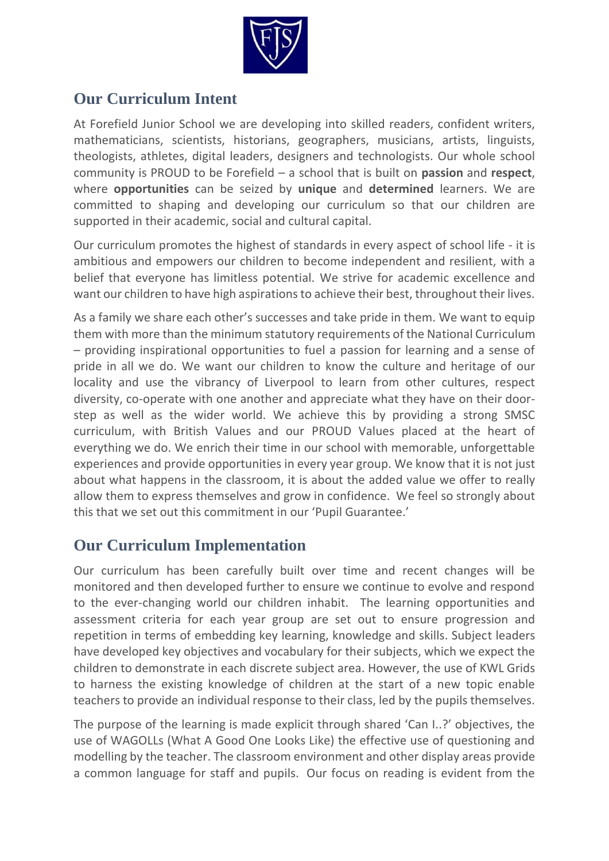

## **Our Curriculum Intent**

At Forefield Junior School we are developing into skilled readers, confident writers, mathematicians, scientists, historians, geographers, musicians, artists, linguists, theologists, athletes, digital leaders, designers and technologists. Our whole school community is PROUD to be Forefield – a school that is built on **passion** and **respect**, where **opportunities** can be seized by **unique** and **determined** learners. We are committed to shaping and developing our curriculum so that our children are supported in their academic, social and cultural capital.

Our curriculum promotes the highest of standards in every aspect of school life - it is ambitious and empowers our children to become independent and resilient, with a belief that everyone has limitless potential. We strive for academic excellence and want our children to have high aspirations to achieve their best, throughout their lives.

As a family we share each other's successes and take pride in them. We want to equip them with more than the minimum statutory requirements of the National Curriculum – providing inspirational opportunities to fuel a passion for learning and a sense of pride in all we do. We want our children to know the culture and heritage of our locality and use the vibrancy of Liverpool to learn from other cultures, respect diversity, co-operate with one another and appreciate what they have on their doorstep as well as the wider world. We achieve this by providing a strong SMSC curriculum, with British Values and our PROUD Values placed at the heart of everything we do. We enrich their time in our school with memorable, unforgettable experiences and provide opportunities in every year group. We know that it is not just about what happens in the classroom, it is about the added value we offer to really allow them to express themselves and grow in confidence. We feel so strongly about this that we set out this commitment in our 'Pupil Guarantee.'

## **Our Curriculum Implementation**

Our curriculum has been carefully built over time and recent changes will be monitored and then developed further to ensure we continue to evolve and respond to the ever-changing world our children inhabit. The learning opportunities and assessment criteria for each year group are set out to ensure progression and repetition in terms of embedding key learning, knowledge and skills. Subject leaders have developed key objectives and vocabulary for their subjects, which we expect the children to demonstrate in each discrete subject area. However, the use of KWL Grids to harness the existing knowledge of children at the start of a new topic enable teachers to provide an individual response to their class, led by the pupils themselves.

The purpose of the learning is made explicit through shared 'Can I..?' objectives, the use of WAGOLLs (What A Good One Looks Like) the effective use of questioning and modelling by the teacher. The classroom environment and other display areas provide a common language for staff and pupils. Our focus on reading is evident from the